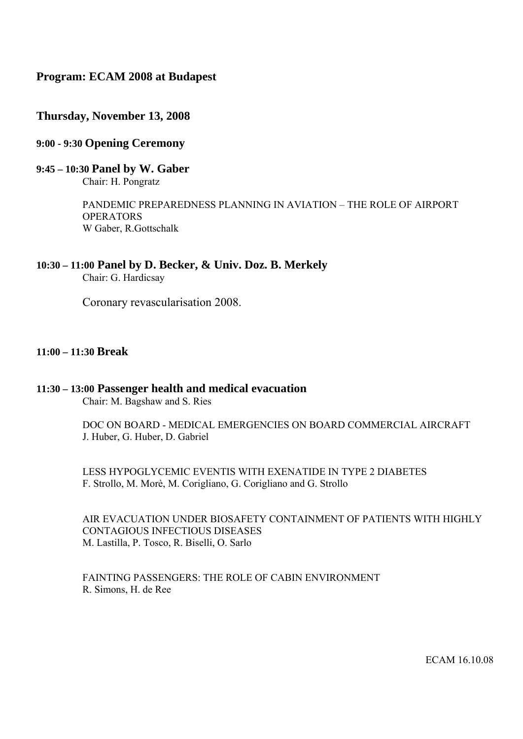# **Program: ECAM 2008 at Budapest**

## **Thursday, November 13, 2008**

## **9:00 - 9:30 Opening Ceremony**

# **9:45 – 10:30 Panel by W. Gaber**

Chair: H. Pongratz

PANDEMIC PREPAREDNESS PLANNING IN AVIATION – THE ROLE OF AIRPORT **OPERATORS** W Gaber, R.Gottschalk

# **10:30 – 11:00 Panel by D. Becker, & Univ. Doz. B. Merkely**

Chair: G. Hardicsay

Coronary revascularisation 2008.

## **11:00 – 11:30 Break**

## **11:30 – 13:00 Passenger health and medical evacuation**

Chair: M. Bagshaw and S. Ries

DOC ON BOARD - MEDICAL EMERGENCIES ON BOARD COMMERCIAL AIRCRAFT J. Huber, G. Huber, D. Gabriel

LESS HYPOGLYCEMIC EVENTIS WITH EXENATIDE IN TYPE 2 DIABETES F. Strollo, M. Morè, M. Corigliano, G. Corigliano and G. Strollo

AIR EVACUATION UNDER BIOSAFETY CONTAINMENT OF PATIENTS WITH HIGHLY CONTAGIOUS INFECTIOUS DISEASES M. Lastilla, P. Tosco, R. Biselli, O. Sarlo

FAINTING PASSENGERS: THE ROLE OF CABIN ENVIRONMENT R. Simons, H. de Ree

ECAM 16.10.08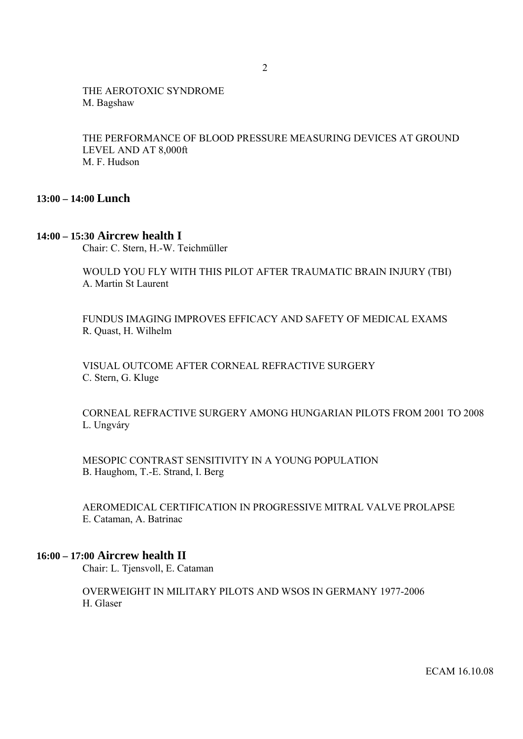## THE AEROTOXIC SYNDROME M. Bagshaw

THE PERFORMANCE OF BLOOD PRESSURE MEASURING DEVICES AT GROUND LEVEL AND AT 8,000ft M. F. Hudson

## **13:00 – 14:00 Lunch**

## **14:00 – 15:30 Aircrew health I**

Chair: C. Stern, H.-W. Teichmüller

WOULD YOU FLY WITH THIS PILOT AFTER TRAUMATIC BRAIN INJURY (TBI) A. Martin St Laurent

FUNDUS IMAGING IMPROVES EFFICACY AND SAFETY OF MEDICAL EXAMS R. Quast, H. Wilhelm

VISUAL OUTCOME AFTER CORNEAL REFRACTIVE SURGERY C. Stern, G. Kluge

CORNEAL REFRACTIVE SURGERY AMONG HUNGARIAN PILOTS FROM 2001 TO 2008 L. Ungváry

MESOPIC CONTRAST SENSITIVITY IN A YOUNG POPULATION B. Haughom, T.-E. Strand, I. Berg

AEROMEDICAL CERTIFICATION IN PROGRESSIVE MITRAL VALVE PROLAPSE E. Cataman, A. Batrinac

## **16:00 – 17:00 Aircrew health II**

Chair: L. Tjensvoll, E. Cataman

OVERWEIGHT IN MILITARY PILOTS AND WSOS IN GERMANY 1977-2006 H. Glaser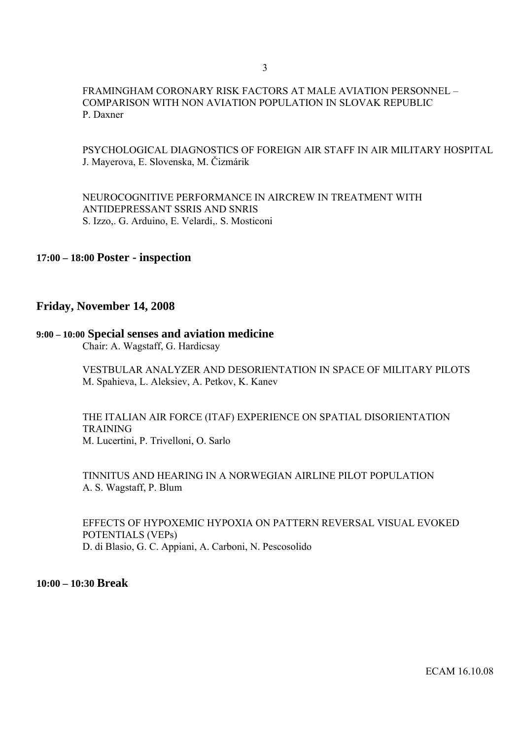### FRAMINGHAM CORONARY RISK FACTORS AT MALE AVIATION PERSONNEL – COMPARISON WITH NON AVIATION POPULATION IN SLOVAK REPUBLIC P. Daxner

### PSYCHOLOGICAL DIAGNOSTICS OF FOREIGN AIR STAFF IN AIR MILITARY HOSPITAL J. Mayerova, E. Slovenska, M. Čizmárik

NEUROCOGNITIVE PERFORMANCE IN AIRCREW IN TREATMENT WITH ANTIDEPRESSANT SSRIS AND SNRIS S. Izzo,. G. Arduino, E. Velardi,. S. Mosticoni

## **17:00 – 18:00 Poster - inspection**

#### **Friday, November 14, 2008**

#### **9:00 – 10:00 Special senses and aviation medicine**

Chair: A. Wagstaff, G. Hardicsay

VESTBULAR ANALYZER AND DESORIENTATION IN SPACE OF MILITARY PILOTS M. Spahieva, L. Aleksiev, A. Petkov, K. Kanev

THE ITALIAN AIR FORCE (ITAF) EXPERIENCE ON SPATIAL DISORIENTATION **TRAINING** M. Lucertini, P. Trivelloni, O. Sarlo

TINNITUS AND HEARING IN A NORWEGIAN AIRLINE PILOT POPULATION A. S. Wagstaff, P. Blum

EFFECTS OF HYPOXEMIC HYPOXIA ON PATTERN REVERSAL VISUAL EVOKED POTENTIALS (VEPs) D. di Blasio, G. C. Appiani, A. Carboni, N. Pescosolido

**10:00 – 10:30 Break**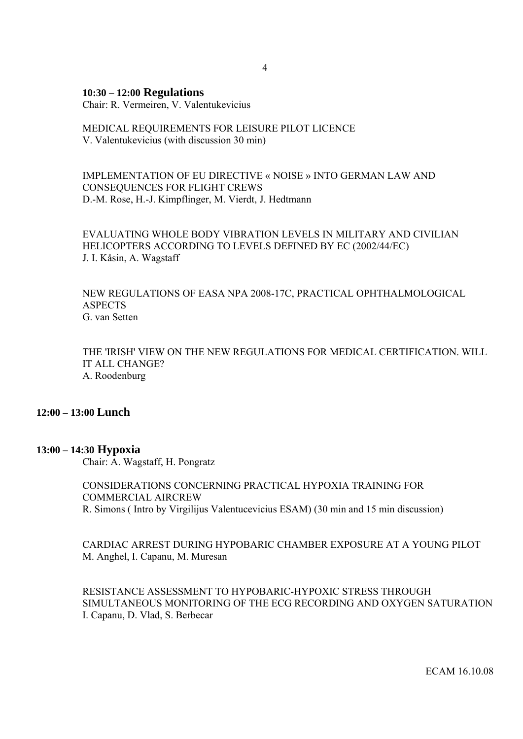#### **10:30 – 12:00 Regulations**

Chair: R. Vermeiren, V. Valentukevicius

## MEDICAL REQUIREMENTS FOR LEISURE PILOT LICENCE V. Valentukevicius (with discussion 30 min)

### IMPLEMENTATION OF EU DIRECTIVE « NOISE » INTO GERMAN LAW AND CONSEQUENCES FOR FLIGHT CREWS D.-M. Rose, H.-J. Kimpflinger, M. Vierdt, J. Hedtmann

EVALUATING WHOLE BODY VIBRATION LEVELS IN MILITARY AND CIVILIAN HELICOPTERS ACCORDING TO LEVELS DEFINED BY EC (2002/44/EC) J. I. Kåsin, A. Wagstaff

NEW REGULATIONS OF EASA NPA 2008-17C, PRACTICAL OPHTHALMOLOGICAL ASPECTS G. van Setten

THE 'IRISH' VIEW ON THE NEW REGULATIONS FOR MEDICAL CERTIFICATION. WILL IT ALL CHANGE? A. Roodenburg

### **12:00 – 13:00 Lunch**

#### **13:00 – 14:30 Hypoxia**

Chair: A. Wagstaff, H. Pongratz

CONSIDERATIONS CONCERNING PRACTICAL HYPOXIA TRAINING FOR COMMERCIAL AIRCREW R. Simons ( Intro by Virgilijus Valentucevicius ESAM) (30 min and 15 min discussion)

CARDIAC ARREST DURING HYPOBARIC CHAMBER EXPOSURE AT A YOUNG PILOT M. Anghel, I. Capanu, M. Muresan

RESISTANCE ASSESSMENT TO HYPOBARIC-HYPOXIC STRESS THROUGH SIMULTANEOUS MONITORING OF THE ECG RECORDING AND OXYGEN SATURATION I. Capanu, D. Vlad, S. Berbecar

ECAM 16.10.08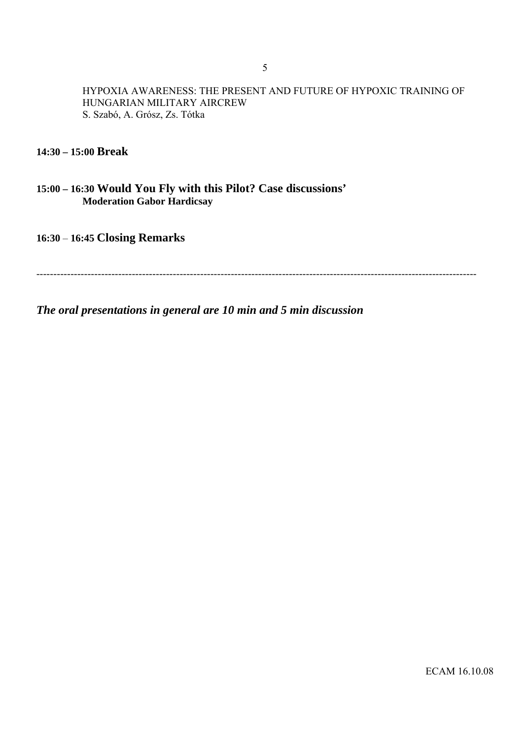HYPOXIA AWARENESS: THE PRESENT AND FUTURE OF HYPOXIC TRAINING OF HUNGARIAN MILITARY AIRCREW S. Szabó, A. Grósz, Zs. Tótka

**14:30 – 15:00 Break**

**15:00 – 16:30 Would You Fly with this Pilot? Case discussions' Moderation Gabor Hardicsay**

**16:30** – **16:45 Closing Remarks** 

---------------------------------------------------------------------------------------------------------------------------------

*The oral presentations in general are 10 min and 5 min discussion*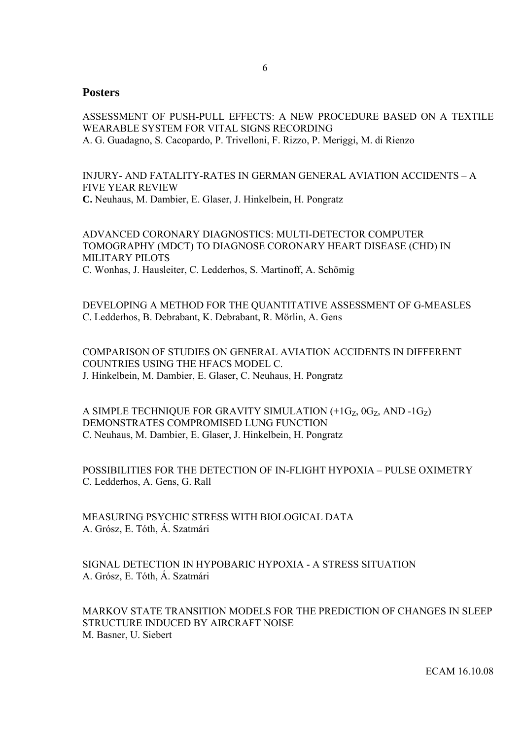## **Posters**

ASSESSMENT OF PUSH-PULL EFFECTS: A NEW PROCEDURE BASED ON A TEXTILE WEARABLE SYSTEM FOR VITAL SIGNS RECORDING A. G. Guadagno, S. Cacopardo, P. Trivelloni, F. Rizzo, P. Meriggi, M. di Rienzo

INJURY- AND FATALITY-RATES IN GERMAN GENERAL AVIATION ACCIDENTS – A FIVE YEAR REVIEW **C.** Neuhaus, M. Dambier, E. Glaser, J. Hinkelbein, H. Pongratz

ADVANCED CORONARY DIAGNOSTICS: MULTI-DETECTOR COMPUTER TOMOGRAPHY (MDCT) TO DIAGNOSE CORONARY HEART DISEASE (CHD) IN MILITARY PILOTS C. Wonhas, J. Hausleiter, C. Ledderhos, S. Martinoff, A. Schömig

DEVELOPING A METHOD FOR THE QUANTITATIVE ASSESSMENT OF G-MEASLES C. Ledderhos, B. Debrabant, K. Debrabant, R. Mörlin, A. Gens

COMPARISON OF STUDIES ON GENERAL AVIATION ACCIDENTS IN DIFFERENT COUNTRIES USING THE HFACS MODEL C. J. Hinkelbein, M. Dambier, E. Glaser, C. Neuhaus, H. Pongratz

A SIMPLE TECHNIQUE FOR GRAVITY SIMULATION  $(+1G<sub>Z</sub>, 0G<sub>Z</sub>, AND -1G<sub>Z</sub>)$ DEMONSTRATES COMPROMISED LUNG FUNCTION C. Neuhaus, M. Dambier, E. Glaser, J. Hinkelbein, H. Pongratz

POSSIBILITIES FOR THE DETECTION OF IN-FLIGHT HYPOXIA – PULSE OXIMETRY C. Ledderhos, A. Gens, G. Rall

MEASURING PSYCHIC STRESS WITH BIOLOGICAL DATA A. Grósz, E. Tóth, Á. Szatmári

SIGNAL DETECTION IN HYPOBARIC HYPOXIA - A STRESS SITUATION A. Grósz, E. Tóth, Á. Szatmári

MARKOV STATE TRANSITION MODELS FOR THE PREDICTION OF CHANGES IN SLEEP STRUCTURE INDUCED BY AIRCRAFT NOISE M. Basner, U. Siebert

ECAM 16.10.08